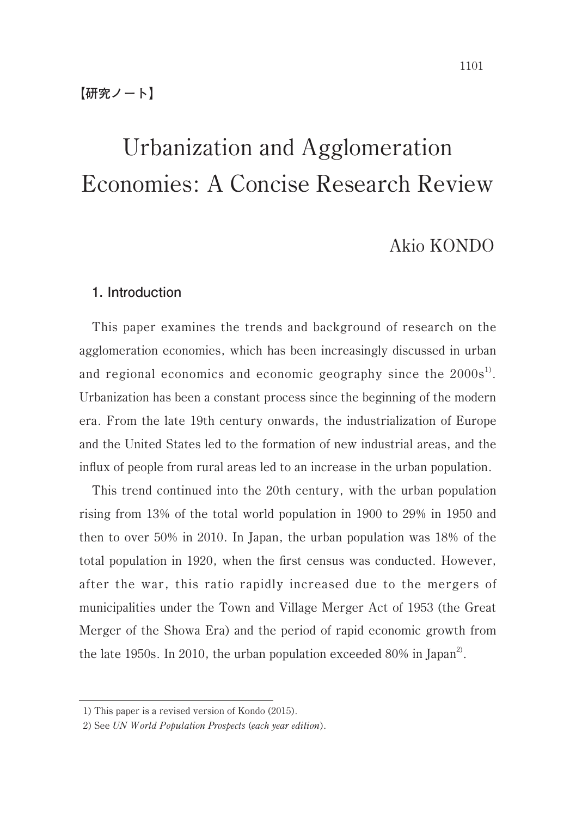## Akio KONDO

## **1. Introduction**

This paper examines the trends and background of research on the agglomeration economies, which has been increasingly discussed in urban and regional economics and economic geography since the  $2000s<sup>1</sup>$ . Urbanization has been a constant process since the beginning of the modern era. From the late 19th century onwards, the industrialization of Europe and the United States led to the formation of new industrial areas, and the influx of people from rural areas led to an increase in the urban population.

This trend continued into the 20th century, with the urban population rising from 13% of the total world population in 1900 to 29% in 1950 and then to over 50% in 2010. In Japan, the urban population was 18% of the total population in 1920, when the first census was conducted. However, after the war, this ratio rapidly increased due to the mergers of municipalities under the Town and Village Merger Act of 1953 (the Great Merger of the Showa Era) and the period of rapid economic growth from the late 1950s. In 2010, the urban population exceeded 80% in Japan<sup>2</sup>.

<sup>1)</sup> This paper is a revised version of Kondo (2015).

<sup>2)</sup> See UN World Population Prospects (each year edition).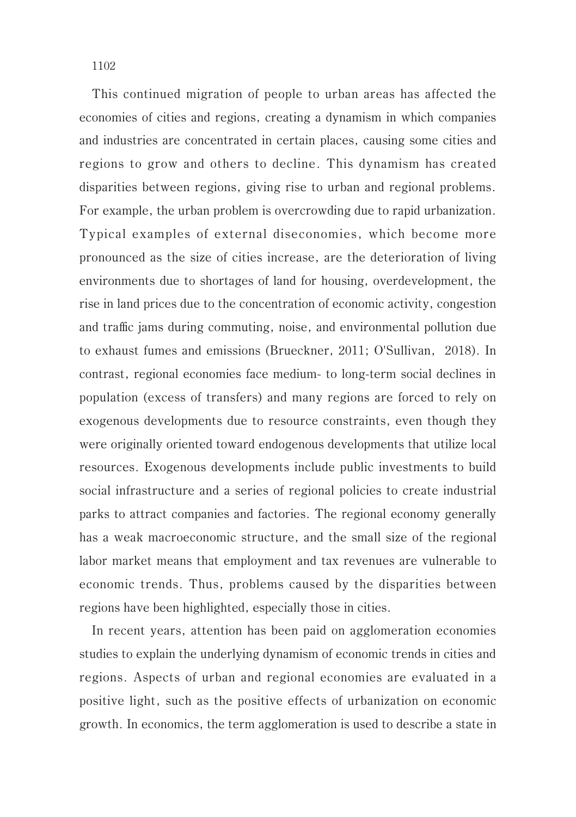1102

This continued migration of people to urban areas has affected the economies of cities and regions, creating a dynamism in which companies and industries are concentrated in certain places, causing some cities and regions to grow and others to decline. This dynamism has created disparities between regions, giving rise to urban and regional problems. For example, the urban problem is overcrowding due to rapid urbanization. Typical examples of external diseconomies, which become more pronounced as the size of cities increase, are the deterioration of living environments due to shortages of land for housing, overdevelopment, the rise in land prices due to the concentration of economic activity, congestion and traffic jams during commuting, noise, and environmental pollution due to exhaust fumes and emissions (Brueckner, 2011; O'Sullivan, 2018). In contrast, regional economies face medium- to long-term social declines in population (excess of transfers) and many regions are forced to rely on exogenous developments due to resource constraints, even though they were originally oriented toward endogenous developments that utilize local resources. Exogenous developments include public investments to build social infrastructure and a series of regional policies to create industrial parks to attract companies and factories. The regional economy generally has a weak macroeconomic structure, and the small size of the regional labor market means that employment and tax revenues are vulnerable to economic trends. Thus, problems caused by the disparities between regions have been highlighted, especially those in cities.

In recent years, attention has been paid on agglomeration economies studies to explain the underlying dynamism of economic trends in cities and regions. Aspects of urban and regional economies are evaluated in a positive light, such as the positive effects of urbanization on economic growth. In economics, the term agglomeration is used to describe a state in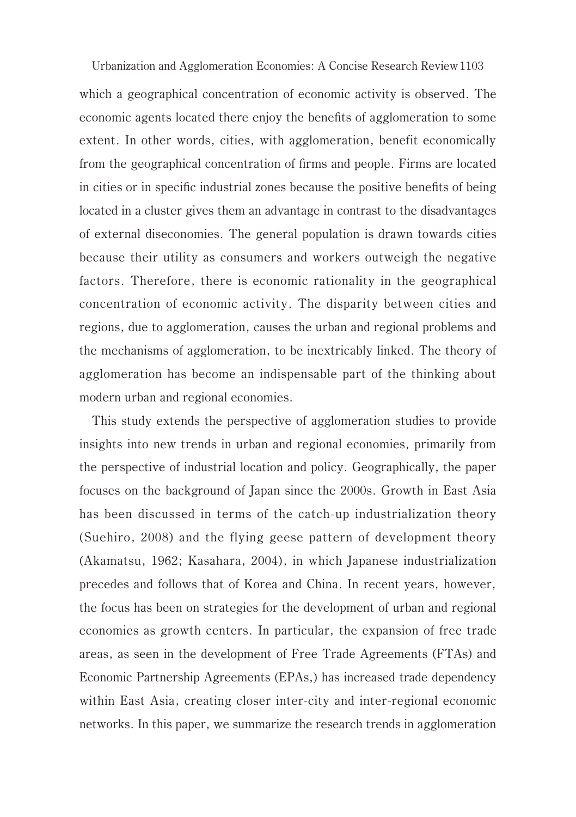Urbanization and Agglomeration Economies: A Concise Research Review 1103 which a geographical concentration of economic activity is observed. The economic agents located there enjoy the benefits of agglomeration to some extent. In other words, cities, with agglomeration, benefit economically from the geographical concentration of firms and people. Firms are located in cities or in specific industrial zones because the positive benefits of being located in a cluster gives them an advantage in contrast to the disadvantages of external diseconomies. The general population is drawn towards cities because their utility as consumers and workers outweigh the negative factors. Therefore, there is economic rationality in the geographical concentration of economic activity. The disparity between cities and regions, due to agglomeration, causes the urban and regional problems and the mechanisms of agglomeration, to be inextricably linked. The theory of agglomeration has become an indispensable part of the thinking about modern urban and regional economies.

This study extends the perspective of agglomeration studies to provide insights into new trends in urban and regional economies, primarily from the perspective of industrial location and policy. Geographically, the paper focuses on the background of Japan since the 2000s. Growth in East Asia has been discussed in terms of the catch-up industrialization theory (Suehiro, 2008) and the flying geese pattern of development theory (Akamatsu, 1962; Kasahara, 2004), in which Japanese industrialization precedes and follows that of Korea and China. In recent years, however, the focus has been on strategies for the development of urban and regional economies as growth centers. In particular, the expansion of free trade areas, as seen in the development of Free Trade Agreements (FTAs) and Economic Partnership Agreements (EPAs,) has increased trade dependency within East Asia, creating closer inter-city and inter-regional economic networks. In this paper, we summarize the research trends in agglomeration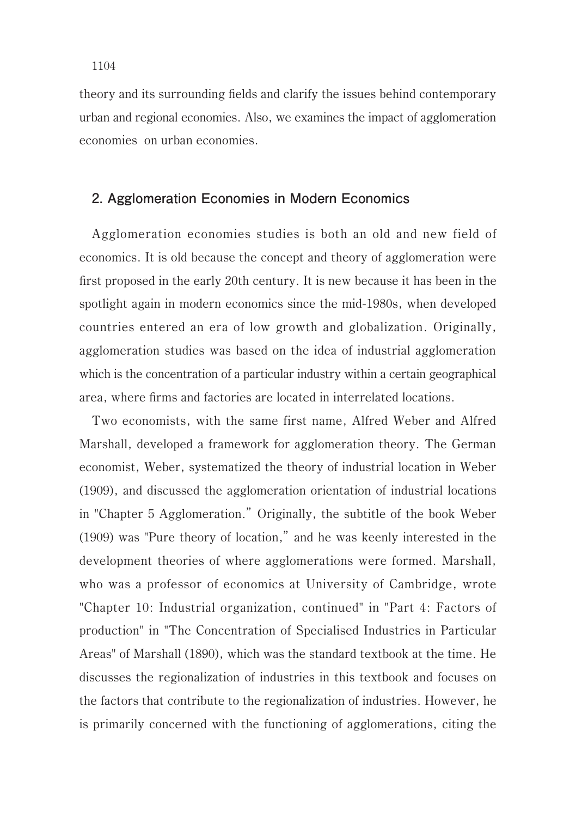theory and its surrounding fields and clarify the issues behind contemporary urban and regional economies. Also, we examines the impact of agglomeration economies on urban economies.

## **2. Agglomeration Economies in Modern Economics**

Agglomeration economies studies is both an old and new field of economics. It is old because the concept and theory of agglomeration were first proposed in the early 20th century. It is new because it has been in the spotlight again in modern economics since the mid-1980s, when developed countries entered an era of low growth and globalization. Originally, agglomeration studies was based on the idea of industrial agglomeration which is the concentration of a particular industry within a certain geographical area, where firms and factories are located in interrelated locations.

Two economists, with the same first name, Alfred Weber and Alfred Marshall, developed a framework for agglomeration theory. The German economist, Weber, systematized the theory of industrial location in Weber (1909), and discussed the agglomeration orientation of industrial locations in "Chapter 5 Agglomeration." Originally, the subtitle of the book Weber (1909) was "Pure theory of location," and he was keenly interested in the development theories of where agglomerations were formed. Marshall, who was a professor of economics at University of Cambridge, wrote "Chapter 10: Industrial organization, continued" in "Part 4: Factors of production" in "The Concentration of Specialised Industries in Particular Areas" of Marshall (1890), which was the standard textbook at the time. He discusses the regionalization of industries in this textbook and focuses on the factors that contribute to the regionalization of industries. However, he is primarily concerned with the functioning of agglomerations, citing the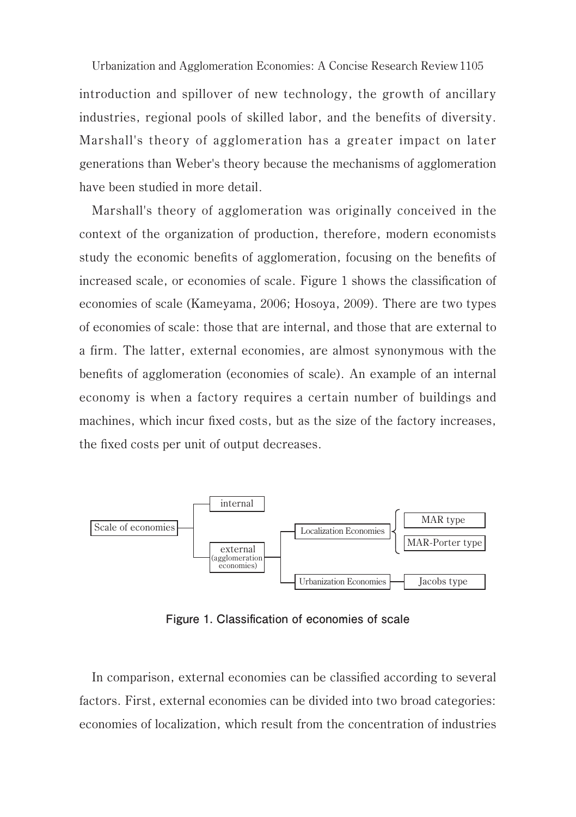Urbanization and Agglomeration Economies: A Concise Research Review 1105 introduction and spillover of new technology, the growth of ancillary industries, regional pools of skilled labor, and the benefits of diversity. Marshall's theory of agglomeration has a greater impact on later generations than Weber's theory because the mechanisms of agglomeration have been studied in more detail.

Marshall's theory of agglomeration was originally conceived in the context of the organization of production, therefore, modern economists study the economic benefits of agglomeration, focusing on the benefits of increased scale, or economies of scale. Figure 1 shows the classification of economies of scale (Kameyama, 2006; Hosoya, 2009). There are two types of economies of scale: those that are internal, and those that are external to a firm. The latter, external economies, are almost synonymous with the benefits of agglomeration (economies of scale). An example of an internal economy is when a factory requires a certain number of buildings and machines, which incur fixed costs, but as the size of the factory increases, the fixed costs per unit of output decreases.



**Figure 1. Classification of economies of scale**

In comparison, external economies can be classified according to several factors. First, external economies can be divided into two broad categories: economies of localization, which result from the concentration of industries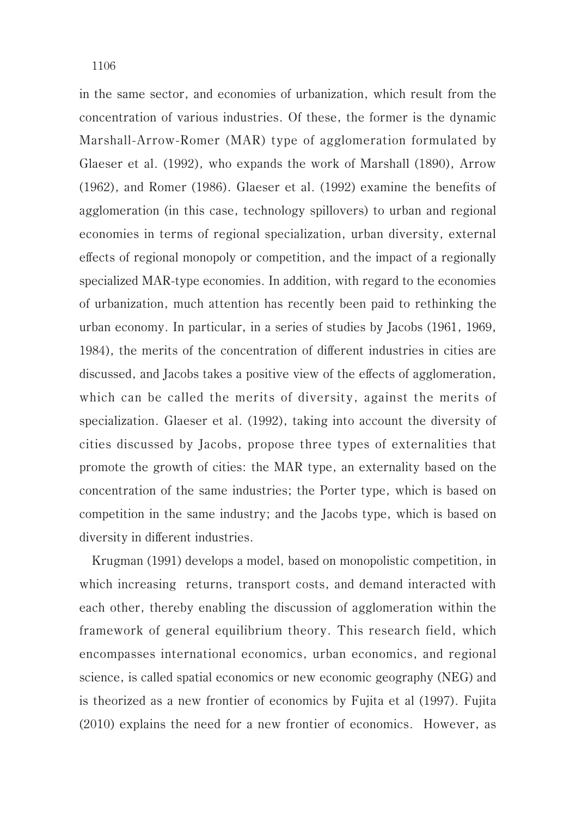1106

in the same sector, and economies of urbanization, which result from the concentration of various industries. Of these, the former is the dynamic Marshall-Arrow-Romer (MAR) type of agglomeration formulated by Glaeser et al. (1992), who expands the work of Marshall (1890), Arrow (1962), and Romer (1986). Glaeser et al. (1992) examine the benefits of agglomeration (in this case, technology spillovers) to urban and regional economies in terms of regional specialization, urban diversity, external effects of regional monopoly or competition, and the impact of a regionally specialized MAR-type economies. In addition, with regard to the economies of urbanization, much attention has recently been paid to rethinking the urban economy. In particular, in a series of studies by Jacobs (1961, 1969, 1984), the merits of the concentration of different industries in cities are discussed, and Jacobs takes a positive view of the effects of agglomeration, which can be called the merits of diversity, against the merits of specialization. Glaeser et al. (1992), taking into account the diversity of cities discussed by Jacobs, propose three types of externalities that promote the growth of cities: the MAR type, an externality based on the concentration of the same industries; the Porter type, which is based on competition in the same industry; and the Jacobs type, which is based on diversity in different industries.

Krugman (1991) develops a model, based on monopolistic competition, in which increasing returns, transport costs, and demand interacted with each other, thereby enabling the discussion of agglomeration within the framework of general equilibrium theory. This research field, which encompasses international economics, urban economics, and regional science, is called spatial economics or new economic geography (NEG) and is theorized as a new frontier of economics by Fujita et al (1997). Fujita (2010) explains the need for a new frontier of economics. However, as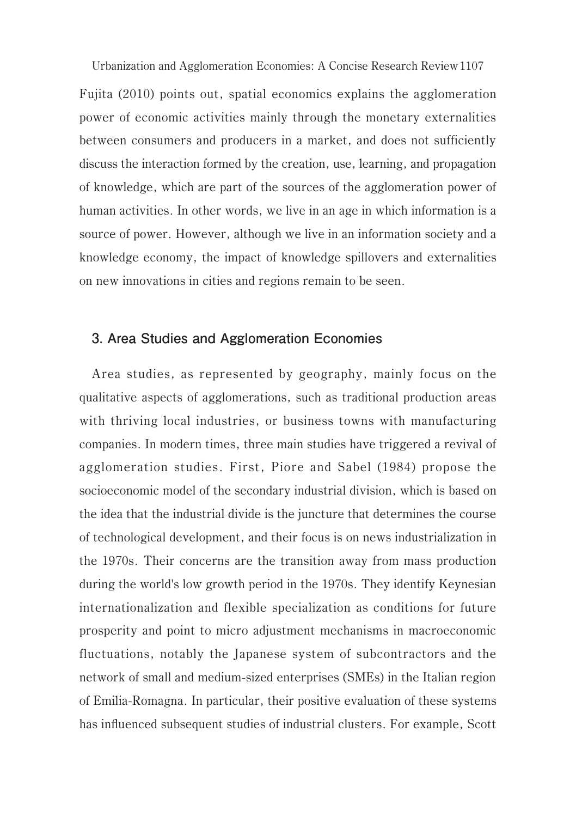Fujita (2010) points out, spatial economics explains the agglomeration power of economic activities mainly through the monetary externalities between consumers and producers in a market, and does not sufficiently discuss the interaction formed by the creation, use, learning, and propagation of knowledge, which are part of the sources of the agglomeration power of human activities. In other words, we live in an age in which information is a source of power. However, although we live in an information society and a knowledge economy, the impact of knowledge spillovers and externalities on new innovations in cities and regions remain to be seen.

## **3. Area Studies and Agglomeration Economies**

Area studies, as represented by geography, mainly focus on the qualitative aspects of agglomerations, such as traditional production areas with thriving local industries, or business towns with manufacturing companies. In modern times, three main studies have triggered a revival of agglomeration studies. First, Piore and Sabel (1984) propose the socioeconomic model of the secondary industrial division, which is based on the idea that the industrial divide is the juncture that determines the course of technological development, and their focus is on news industrialization in the 1970s. Their concerns are the transition away from mass production during the world's low growth period in the 1970s. They identify Keynesian internationalization and flexible specialization as conditions for future prosperity and point to micro adjustment mechanisms in macroeconomic fluctuations, notably the Japanese system of subcontractors and the network of small and medium-sized enterprises (SMEs) in the Italian region of Emilia-Romagna. In particular, their positive evaluation of these systems has influenced subsequent studies of industrial clusters. For example, Scott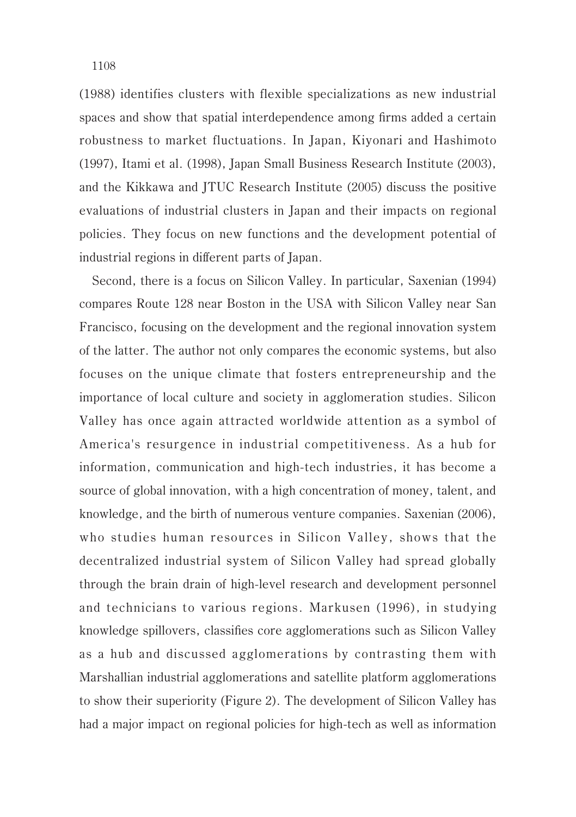(1988) identifies clusters with flexible specializations as new industrial spaces and show that spatial interdependence among firms added a certain robustness to market fluctuations. In Japan, Kiyonari and Hashimoto (1997), Itami et al. (1998), Japan Small Business Research Institute (2003), and the Kikkawa and JTUC Research Institute (2005) discuss the positive evaluations of industrial clusters in Japan and their impacts on regional policies. They focus on new functions and the development potential of industrial regions in different parts of Japan.

Second, there is a focus on Silicon Valley. In particular, Saxenian (1994) compares Route 128 near Boston in the USA with Silicon Valley near San Francisco, focusing on the development and the regional innovation system of the latter. The author not only compares the economic systems, but also focuses on the unique climate that fosters entrepreneurship and the importance of local culture and society in agglomeration studies. Silicon Valley has once again attracted worldwide attention as a symbol of America's resurgence in industrial competitiveness. As a hub for information, communication and high-tech industries, it has become a source of global innovation, with a high concentration of money, talent, and knowledge, and the birth of numerous venture companies. Saxenian (2006), who studies human resources in Silicon Valley, shows that the decentralized industrial system of Silicon Valley had spread globally through the brain drain of high-level research and development personnel and technicians to various regions. Markusen (1996), in studying knowledge spillovers, classifies core agglomerations such as Silicon Valley as a hub and discussed agglomerations by contrasting them with Marshallian industrial agglomerations and satellite platform agglomerations to show their superiority (Figure 2). The development of Silicon Valley has had a major impact on regional policies for high-tech as well as information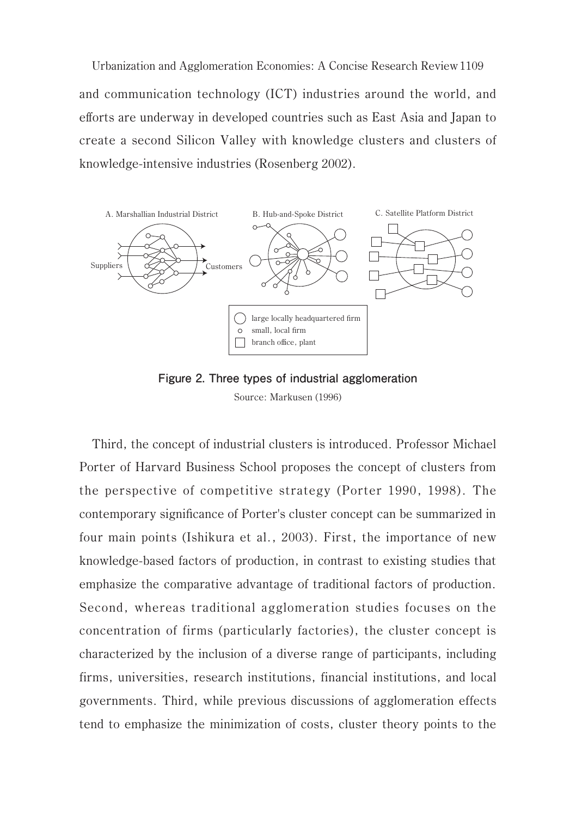1109 Urbanization and Agglomeration Economies: A Concise Research Reviewand communication technology (ICT) industries around the world, and efforts are underway in developed countries such as East Asia and Japan to create a second Silicon Valley with knowledge clusters and clusters of knowledge-intensive industries (Rosenberg 2002).





Third, the concept of industrial clusters is introduced. Professor Michael Porter of Harvard Business School proposes the concept of clusters from the perspective of competitive strategy (Porter 1990, 1998). The contemporary significance of Porter's cluster concept can be summarized in four main points (Ishikura et al., 2003). First, the importance of new knowledge-based factors of production, in contrast to existing studies that emphasize the comparative advantage of traditional factors of production. Second, whereas traditional agglomeration studies focuses on the concentration of firms (particularly factories), the cluster concept is characterized by the inclusion of a diverse range of participants, including firms, universities, research institutions, financial institutions, and local governments. Third, while previous discussions of agglomeration effects tend to emphasize the minimization of costs, cluster theory points to the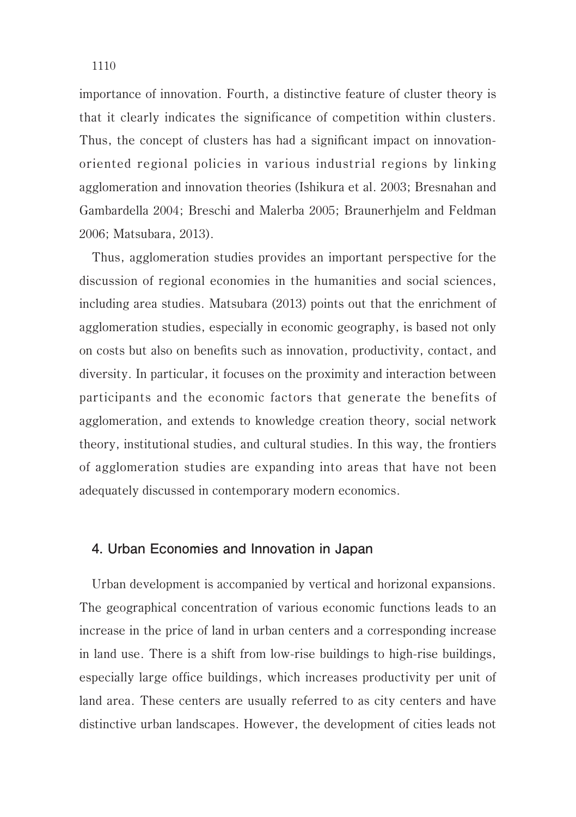importance of innovation. Fourth, a distinctive feature of cluster theory is that it clearly indicates the significance of competition within clusters. Thus, the concept of clusters has had a significant impact on innovationoriented regional policies in various industrial regions by linking agglomeration and innovation theories (Ishikura et al. 2003; Bresnahan and Gambardella 2004; Breschi and Malerba 2005; Braunerhjelm and Feldman 2006; Matsubara, 2013).

Thus, agglomeration studies provides an important perspective for the discussion of regional economies in the humanities and social sciences, including area studies. Matsubara (2013) points out that the enrichment of agglomeration studies, especially in economic geography, is based not only on costs but also on benefits such as innovation, productivity, contact, and diversity. In particular, it focuses on the proximity and interaction between participants and the economic factors that generate the benefits of agglomeration, and extends to knowledge creation theory, social network theory, institutional studies, and cultural studies. In this way, the frontiers of agglomeration studies are expanding into areas that have not been adequately discussed in contemporary modern economics.

#### **4. Urban Economies and Innovation in Japan**

Urban development is accompanied by vertical and horizonal expansions. The geographical concentration of various economic functions leads to an increase in the price of land in urban centers and a corresponding increase in land use. There is a shift from low-rise buildings to high-rise buildings, especially large office buildings, which increases productivity per unit of land area. These centers are usually referred to as city centers and have distinctive urban landscapes. However, the development of cities leads not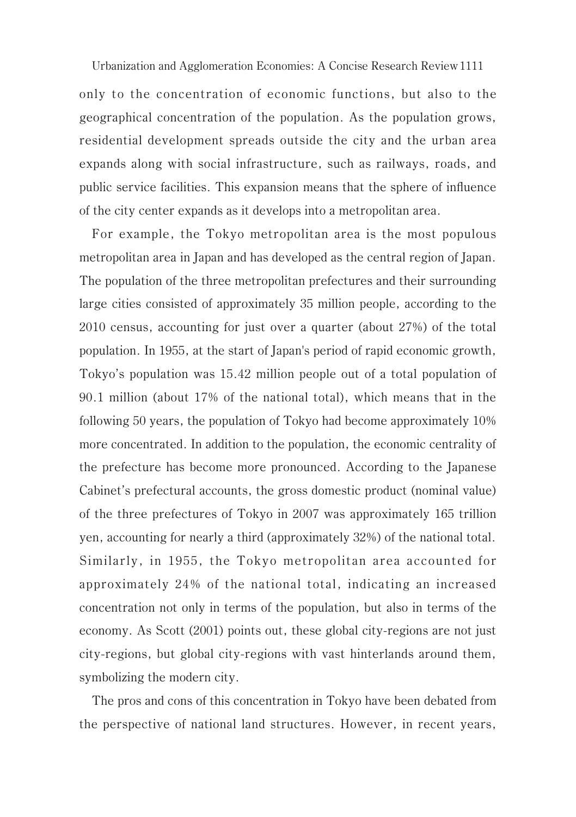only to the concentration of economic functions, but also to the geographical concentration of the population. As the population grows, residential development spreads outside the city and the urban area expands along with social infrastructure, such as railways, roads, and public service facilities. This expansion means that the sphere of influence of the city center expands as it develops into a metropolitan area.

For example, the Tokyo metropolitan area is the most populous metropolitan area in Japan and has developed as the central region of Japan. The population of the three metropolitan prefectures and their surrounding large cities consisted of approximately 35 million people, according to the 2010 census, accounting for just over a quarter (about 27%) of the total population. In 1955, at the start of Japan's period of rapid economic growth, Tokyo's population was 15.42 million people out of a total population of 90.1 million (about 17% of the national total), which means that in the following 50 years, the population of Tokyo had become approximately 10% more concentrated. In addition to the population, the economic centrality of the prefecture has become more pronounced. According to the Japanese Cabinet's prefectural accounts, the gross domestic product (nominal value) of the three prefectures of Tokyo in 2007 was approximately 165 trillion yen, accounting for nearly a third (approximately 32%) of the national total. Similarly, in 1955, the Tokyo metropolitan area accounted for approximately 24% of the national total, indicating an increased concentration not only in terms of the population, but also in terms of the economy. As Scott (2001) points out, these global city-regions are not just city-regions, but global city-regions with vast hinterlands around them, symbolizing the modern city.

The pros and cons of this concentration in Tokyo have been debated from the perspective of national land structures. However, in recent years,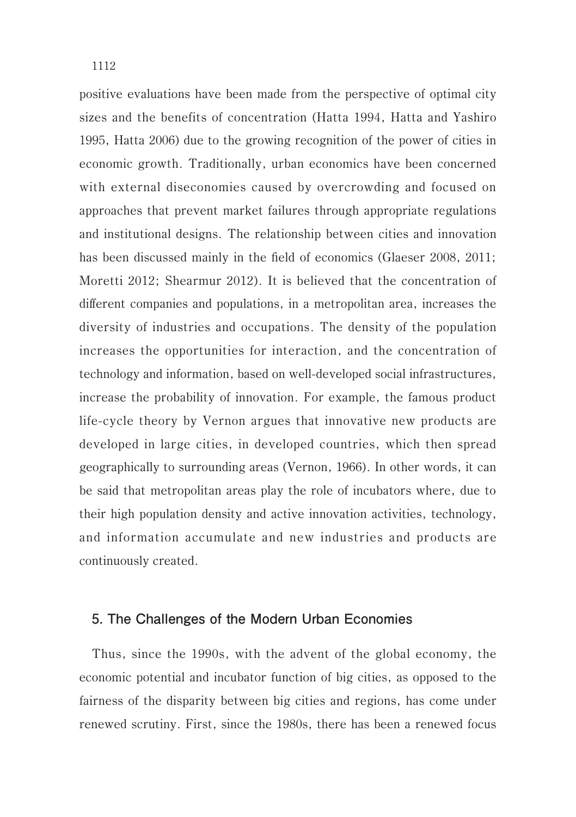positive evaluations have been made from the perspective of optimal city sizes and the benefits of concentration (Hatta 1994, Hatta and Yashiro 1995, Hatta 2006) due to the growing recognition of the power of cities in economic growth. Traditionally, urban economics have been concerned with external diseconomies caused by overcrowding and focused on approaches that prevent market failures through appropriate regulations and institutional designs. The relationship between cities and innovation has been discussed mainly in the field of economics (Glaeser 2008, 2011; Moretti 2012; Shearmur 2012). It is believed that the concentration of different companies and populations, in a metropolitan area, increases the diversity of industries and occupations. The density of the population increases the opportunities for interaction, and the concentration of technology and information, based on well-developed social infrastructures, increase the probability of innovation. For example, the famous product life-cycle theory by Vernon argues that innovative new products are developed in large cities, in developed countries, which then spread geographically to surrounding areas (Vernon, 1966). In other words, it can be said that metropolitan areas play the role of incubators where, due to their high population density and active innovation activities, technology, and information accumulate and new industries and products are continuously created.

#### **5. The Challenges of the Modern Urban Economies**

Thus, since the 1990s, with the advent of the global economy, the economic potential and incubator function of big cities, as opposed to the fairness of the disparity between big cities and regions, has come under renewed scrutiny. First, since the 1980s, there has been a renewed focus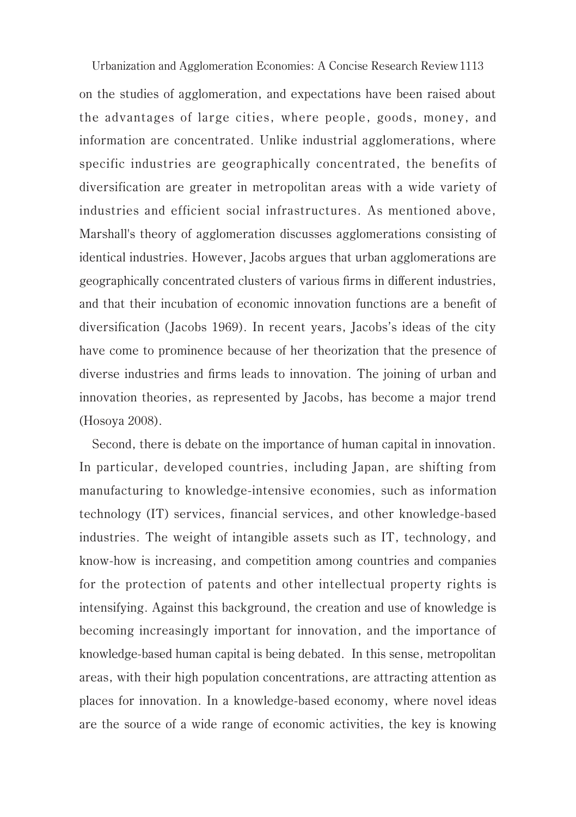Urbanization and Agglomeration Economies: A Concise Research Review 1113 on the studies of agglomeration, and expectations have been raised about the advantages of large cities, where people, goods, money, and information are concentrated. Unlike industrial agglomerations, where specific industries are geographically concentrated, the benefits of diversification are greater in metropolitan areas with a wide variety of industries and efficient social infrastructures. As mentioned above, Marshall's theory of agglomeration discusses agglomerations consisting of identical industries. However, Jacobs argues that urban agglomerations are geographically concentrated clusters of various firms in different industries, and that their incubation of economic innovation functions are a benefit of diversification (Jacobs 1969). In recent years, Jacobs's ideas of the city have come to prominence because of her theorization that the presence of diverse industries and firms leads to innovation. The joining of urban and innovation theories, as represented by Jacobs, has become a major trend (Hosoya 2008).

Second, there is debate on the importance of human capital in innovation. In particular, developed countries, including Japan, are shifting from manufacturing to knowledge-intensive economies, such as information technology (IT) services, financial services, and other knowledge-based industries. The weight of intangible assets such as IT, technology, and know-how is increasing, and competition among countries and companies for the protection of patents and other intellectual property rights is intensifying. Against this background, the creation and use of knowledge is becoming increasingly important for innovation, and the importance of knowledge-based human capital is being debated. In this sense, metropolitan areas, with their high population concentrations, are attracting attention as places for innovation. In a knowledge-based economy, where novel ideas are the source of a wide range of economic activities, the key is knowing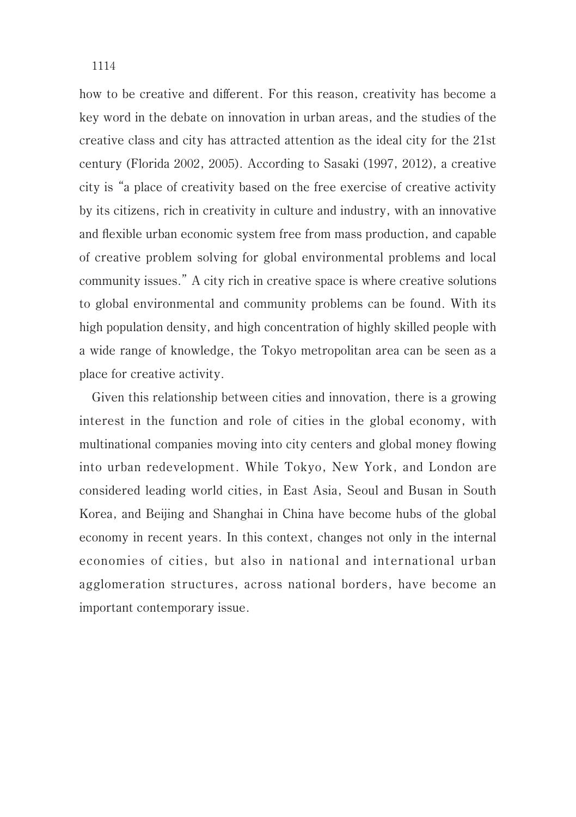how to be creative and different. For this reason, creativity has become a key word in the debate on innovation in urban areas, and the studies of the creative class and city has attracted attention as the ideal city for the 21st century (Florida 2002, 2005). According to Sasaki (1997, 2012), a creative city is "a place of creativity based on the free exercise of creative activity by its citizens, rich in creativity in culture and industry, with an innovative and flexible urban economic system free from mass production, and capable of creative problem solving for global environmental problems and local community issues." A city rich in creative space is where creative solutions to global environmental and community problems can be found. With its high population density, and high concentration of highly skilled people with a wide range of knowledge, the Tokyo metropolitan area can be seen as a place for creative activity.

Given this relationship between cities and innovation, there is a growing interest in the function and role of cities in the global economy, with multinational companies moving into city centers and global money flowing into urban redevelopment. While Tokyo, New York, and London are considered leading world cities, in East Asia, Seoul and Busan in South Korea, and Beijing and Shanghai in China have become hubs of the global economy in recent years. In this context, changes not only in the internal economies of cities, but also in national and international urban agglomeration structures, across national borders, have become an important contemporary issue.

1114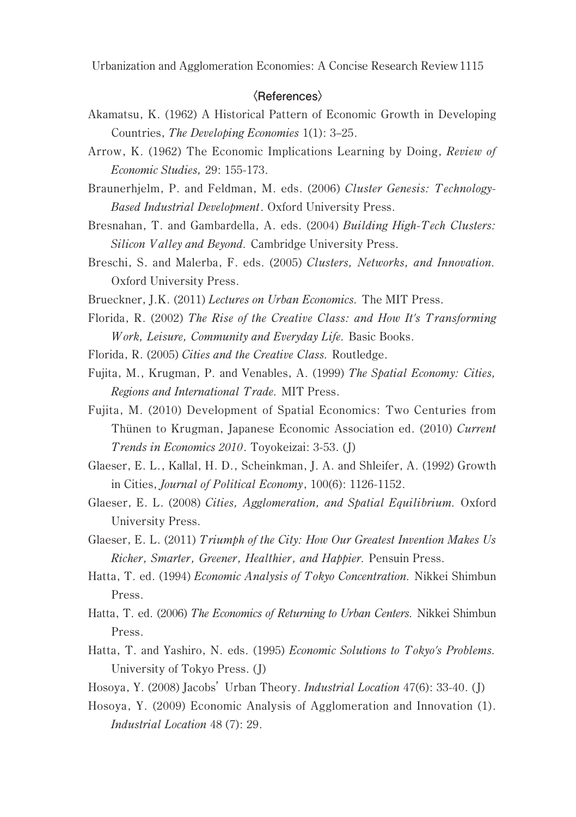#### **〈References〉**

- Akamatsu, K. (1962) A Historical Pattern of Economic Growth in Developing Countries, The Developing Economies 1(1): 3–25.
- Arrow, K. (1962) The Economic Implications Learning by Doing, Review of Economic Studies, 29: 155-173.
- Braunerhjelm, P. and Feldman, M. eds. (2006) Cluster Genesis: Technology-Based Industrial Development. Oxford University Press.
- Bresnahan, T. and Gambardella, A. eds. (2004) Building High-Tech Clusters: Silicon Valley and Beyond. Cambridge University Press.
- Breschi, S. and Malerba, F. eds. (2005) Clusters, Networks, and Innovation. Oxford University Press.
- Brueckner, J.K. (2011) Lectures on Urban Economics. The MIT Press.
- Florida, R. (2002) The Rise of the Creative Class: and How It's Transforming W ork, Leisure, Community and Everyday Life. Basic Books.
- Florida, R. (2005) Cities and the Creative Class. Routledge.
- Fujita, M., Krugman, P. and Venables, A. (1999) The Spatial Economy: Cities, Regions and International Trade. MIT Press.
- Fujita, M. (2010) Development of Spatial Economics: Two Centuries from Thünen to Krugman, Japanese Economic Association ed. (2010) Current Trends in Economics 2010. Toyokeizai: 3-53. (J)
- Glaeser, E. L., Kallal, H. D., Scheinkman, J. A. and Shleifer, A. (1992) Growth in Cities, Journal of Political Economy, 100(6): 1126-1152.
- Glaeser, E. L. (2008) Cities, Agglomeration, and Spatial Equilibrium. Oxford University Press.
- Glaeser, E. L. (2011) Triumph of the City: How Our Greatest Invention Makes Us Richer, Smarter, Greener, Healthier, and Happier. Pensuin Press.
- Hatta, T. ed. (1994) Economic Analysis of Tokyo Concentration. Nikkei Shimbun Press.
- Hatta, T. ed. (2006) The Economics of Returning to Urban Centers. Nikkei Shimbun Press.
- Hatta, T. and Yashiro, N. eds. (1995) Economic Solutions to Tokyo's Problems. University of Tokyo Press. (J)
- Hosoya, Y. (2008) Jacobs' Urban Theory. Industrial Location 47(6): 33-40. (J)
- Hosoya, Y. (2009) Economic Analysis of Agglomeration and Innovation (1). Industrial Location 48 (7): 29.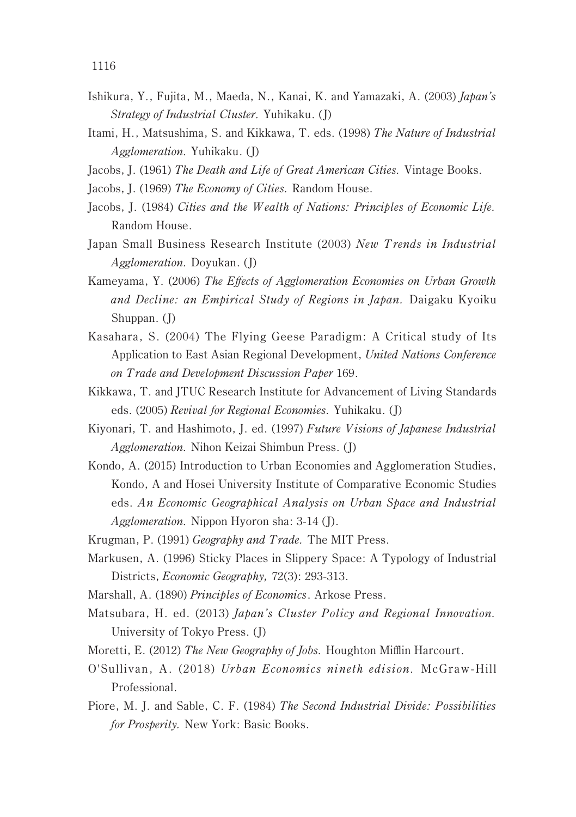- Ishikura, Y., Fujita, M., Maeda, N., Kanai, K. and Yamazaki, A. (2003) Japan's Strategy of Industrial Cluster. Yuhikaku. (J)
- Itami, H., Matsushima, S. and Kikkawa, T. eds. (1998) The Nature of Industrial Agglomeration. Yuhikaku. (J)
- Jacobs, J. (1961) The Death and Life of Great American Cities. Vintage Books.
- Jacobs, J. (1969) The Economy of Cities. Random House.
- Jacobs, J. (1984) Cities and the W ealth of Nations: Principles of Economic Life. Random House.
- Japan Small Business Research Institute (2003) New Trends in Industrial Agglomeration. Doyukan. (J)
- Kameyama, Y. (2006) The Effects of Agglomeration Economies on Urban Growth and Decline: an Empirical Study of Regions in Japan. Daigaku Kyoiku Shuppan. (J)
- Kasahara, S. (2004) The Flying Geese Paradigm: A Critical study of Its Application to East Asian Regional Development, United Nations Conference on Trade and Development Discussion Paper 169.
- Kikkawa, T. and JTUC Research Institute for Advancement of Living Standards eds. (2005) Revival for Regional Economies. Yuhikaku. (J)
- Kiyonari, T. and Hashimoto, J. ed. (1997) Future Visions of Japanese Industrial Agglomeration. Nihon Keizai Shimbun Press. (J)
- Kondo, A. (2015) Introduction to Urban Economies and Agglomeration Studies, Kondo, A and Hosei University Institute of Comparative Economic Studies eds. An Economic Geographical Analysis on Urban Space and Industrial Agglomeration. Nippon Hyoron sha: 3-14 (J).
- Krugman, P. (1991) Geography and Trade. The MIT Press.
- Markusen, A. (1996) Sticky Places in Slippery Space: A Typology of Industrial Districts, Economic Geography, 72(3): 293-313.
- Marshall, A. (1890) Principles of Economics. Arkose Press.
- Matsubara, H. ed. (2013) Japan's Cluster Policy and Regional Innovation. University of Tokyo Press. (J)
- Moretti, E. (2012) The New Geography of Jobs. Houghton Mifflin Harcourt.
- O'Sullivan, A. (2018) Urban Economics nineth edision. McGraw-Hill Professional.
- Piore, M. J. and Sable, C. F. (1984) The Second Industrial Divide: Possibilities for Prosperity. New York: Basic Books.